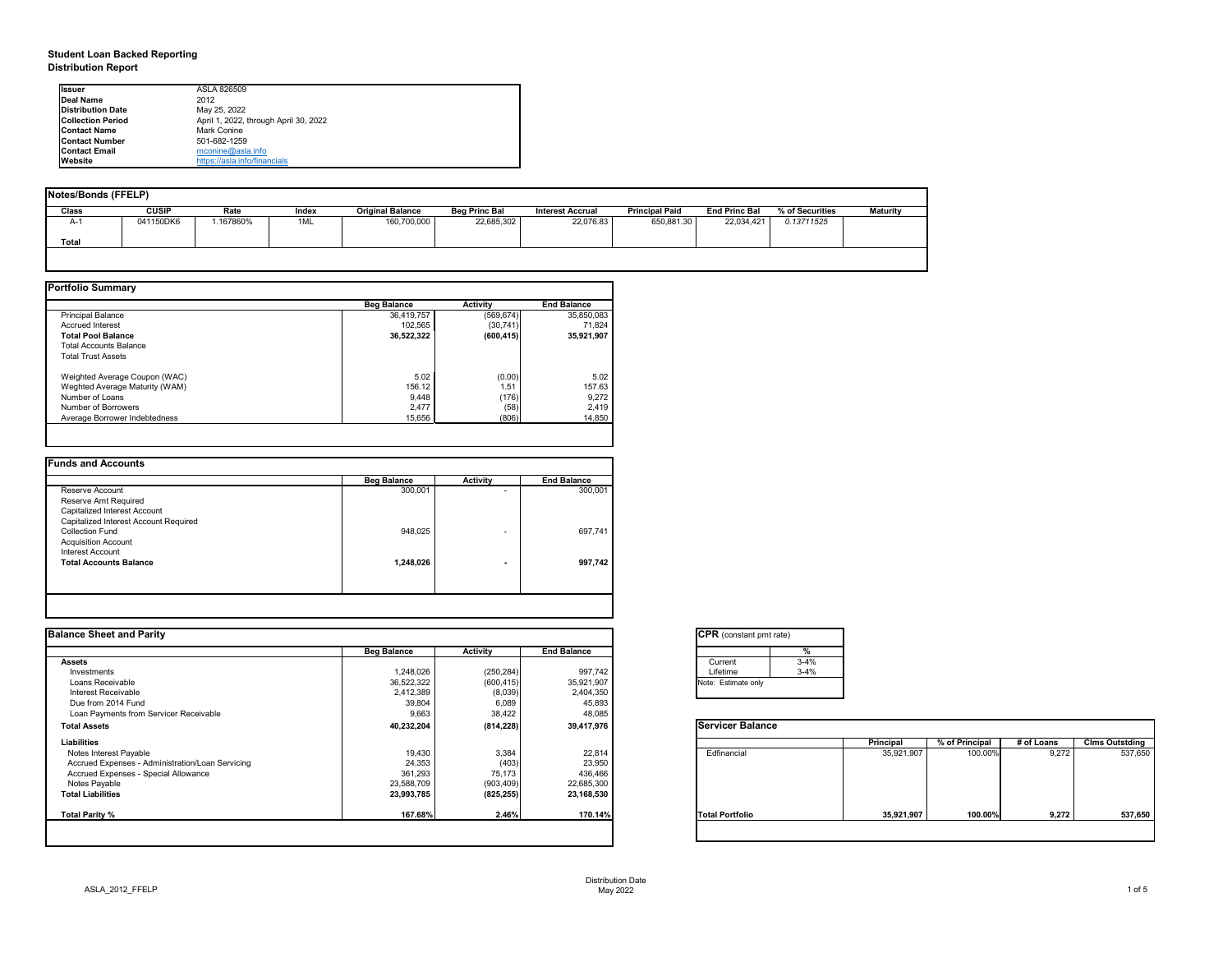### **Student Loan Backed Reporting Distribution Report**

| Notes/Bonds (FFELP) |              |          |       |                         |                      |                         |                       |                      |                 |                 |
|---------------------|--------------|----------|-------|-------------------------|----------------------|-------------------------|-----------------------|----------------------|-----------------|-----------------|
| <b>Class</b>        | <b>CUSIP</b> | Rate     | Index | <b>Original Balance</b> | <b>Beg Princ Bal</b> | <b>Interest Accrual</b> | <b>Principal Paid</b> | <b>End Princ Bal</b> | % of Securities | <b>Maturity</b> |
| A-1                 | 041150DK6    | .167860% | 1ML   | 160,700,000             | 22,685,302           | 22,076.83               | 650,881.30            | 22,034,421           | 0.13711525      |                 |
| <b>Total</b>        |              |          |       |                         |                      |                         |                       |                      |                 |                 |
|                     |              |          |       |                         |                      |                         |                       |                      |                 |                 |

|                                | <b>Beg Balance</b> | <b>Activity</b> | <b>End Balance</b> |
|--------------------------------|--------------------|-----------------|--------------------|
| <b>Principal Balance</b>       | 36,419,757         | (569, 674)      | 35,850,083         |
| <b>Accrued Interest</b>        | 102,565            | (30, 741)       | 71,824             |
| <b>Total Pool Balance</b>      | 36,522,322         | (600, 415)      | 35,921,907         |
| <b>Total Accounts Balance</b>  |                    |                 |                    |
| <b>Total Trust Assets</b>      |                    |                 |                    |
| Weighted Average Coupon (WAC)  | 5.02               | (0.00)          | 5.02               |
| Weghted Average Maturity (WAM) | 156.12             | 1.51            | 157.63             |
| Number of Loans                | 9,448              | (176)           | 9,272              |
| Number of Borrowers            | 2,477              | (58)            | 2,419              |
| Average Borrower Indebtedness  | 15,656             | (806)           | 14,850             |

| <b>Beg Balance</b> | <b>Activity</b> | <b>End Balance</b> |
|--------------------|-----------------|--------------------|
| 300,001            | ۰               | 300,001            |
|                    |                 |                    |
|                    |                 |                    |
|                    |                 |                    |
| 948,025            | ۰               | 697,741            |
|                    |                 |                    |
|                    |                 |                    |
| 1,248,026          |                 | 997,742            |
|                    |                 |                    |
|                    |                 |                    |
|                    |                 |                    |

| <b>I</b> lssuer          | ASLA 826509                           |
|--------------------------|---------------------------------------|
| <b>IDeal Name</b>        | 2012                                  |
| <b>Distribution Date</b> | May 25, 2022                          |
| <b>Collection Period</b> | April 1, 2022, through April 30, 2022 |
| <b>IContact Name</b>     | Mark Conine                           |
| <b>Contact Number</b>    | 501-682-1259                          |
| <b>Contact Email</b>     | $m$ conine@asla.info                  |
| <b>IWebsite</b>          | https://asla.info/financials          |

|                    |                  |                    | <b>CPR</b> (constant pmt rate) |            |                |            |                       |
|--------------------|------------------|--------------------|--------------------------------|------------|----------------|------------|-----------------------|
| <b>Beg Balance</b> | <b>Activity</b>  | <b>End Balance</b> | %                              |            |                |            |                       |
|                    |                  |                    | $3 - 4%$<br>Current            |            |                |            |                       |
| 1,248,026          | (250, 284)       | 997,742            | $3 - 4%$<br>Lifetime           |            |                |            |                       |
| 36,522,322         | (600, 415)       | 35,921,907         | Note: Estimate only            |            |                |            |                       |
| 2,412,389          | (8,039)          | 2,404,350          |                                |            |                |            |                       |
|                    |                  |                    |                                |            |                |            |                       |
| 9,663              | 38,422           | 48,085             |                                |            |                |            |                       |
| 40,232,204         | (814, 228)       | 39,417,976         | <b>Servicer Balance</b>        |            |                |            |                       |
|                    |                  |                    |                                | Principal  | % of Principal | # of Loans | <b>Clms Outstding</b> |
|                    | 3,384            |                    | Edfinancial                    | 35,921,907 | 100.00%        | 9,272      | 537,650               |
| 24,353             |                  | 23,950             |                                |            |                |            |                       |
| 361,293            | 75,173           | 436,466            |                                |            |                |            |                       |
| 23,588,709         | (903, 409)       | 22,685,300         |                                |            |                |            |                       |
| 23,993,785         | (825, 255)       | 23,168,530         |                                |            |                |            |                       |
| 167.68%            | 2.46%            | 170.14%            | <b>Total Portfolio</b>         | 35,921,907 | 100.00%        | 9,272      | 537,650               |
|                    | 39,804<br>19,430 | 6,089<br>(403)     | 45,893<br>22,814               |            |                |            |                       |

| tant pmt rate) |          |
|----------------|----------|
|                | %        |
|                | $3 - 4%$ |
|                | $3 - 4%$ |
| te only        |          |

|      | <b>Principal</b> | % of Principal | # of Loans | <b>Clms Outstding</b> |
|------|------------------|----------------|------------|-----------------------|
| al   | 35,921,907       | 100.00%        | 9,272      | 537,650               |
| oilc | 35,921,907       | 100.00%        | 9,272      | 537,650               |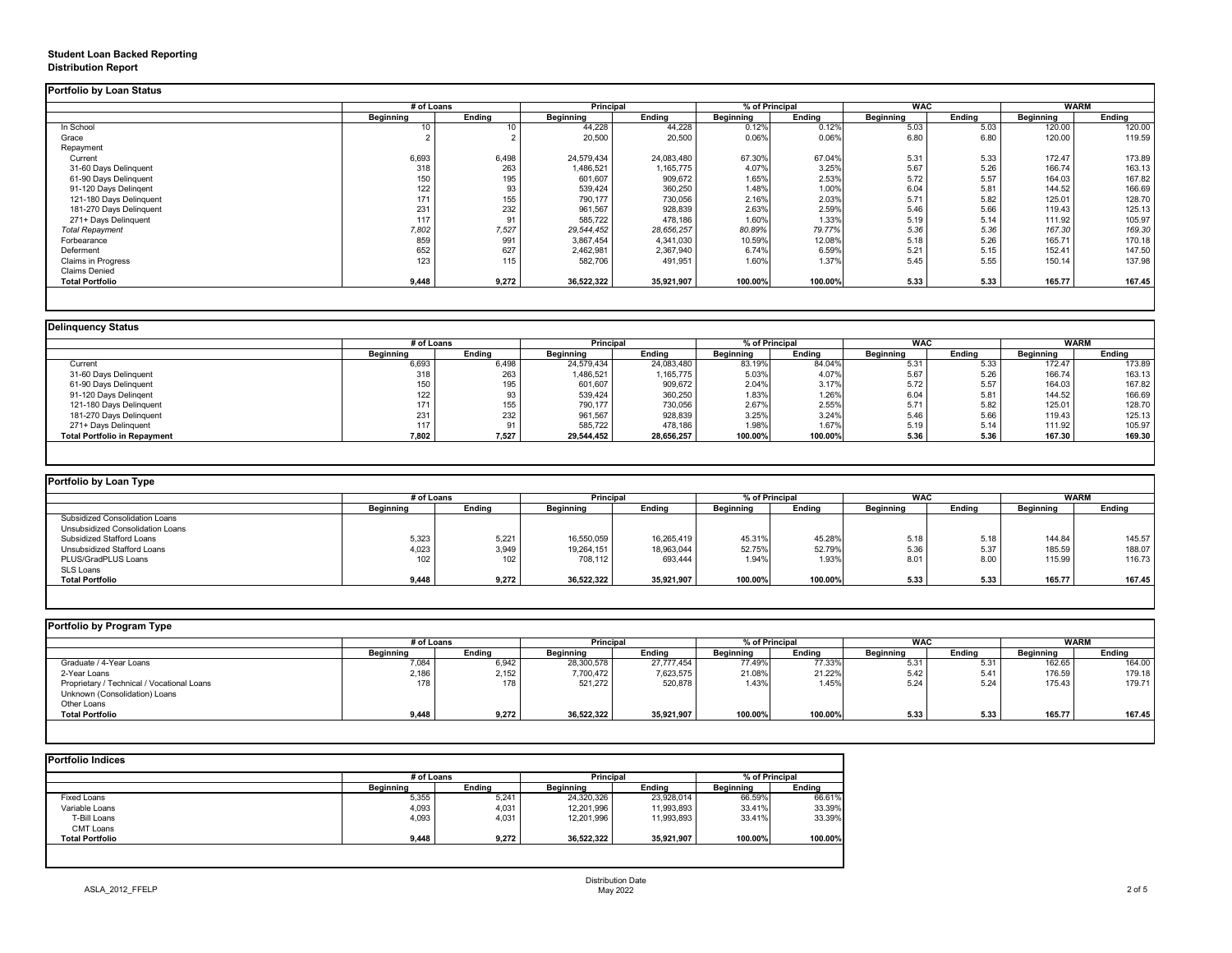## **Student Loan Backed Reporting Distribution Report**

### **Delinquency Status**

|                           | # of Loans       |               | Principal        |               | % of Principal   |               | <b>WAC</b>       |               | <b>WARM</b>      |               |
|---------------------------|------------------|---------------|------------------|---------------|------------------|---------------|------------------|---------------|------------------|---------------|
|                           | <b>Beginning</b> | <b>Ending</b> | <b>Beginning</b> | <b>Ending</b> | <b>Beginning</b> | <b>Ending</b> | <b>Beginning</b> | <b>Ending</b> | <b>Beginning</b> | <b>Ending</b> |
| In School                 | 10               | 10.           | 44,228           | 44,228        | 0.12%            | 0.12%         | 5.03             | 5.03          | 120.00           | 120.00        |
| Grace                     |                  |               | 20,500           | 20,500        | 0.06%            | 0.06%         | 6.80             | 6.80          | 120.00           | 119.59        |
| Repayment                 |                  |               |                  |               |                  |               |                  |               |                  |               |
| Current                   | 6,693            | 6,498         | 24,579,434       | 24,083,480    | 67.30%           | 67.04%        | 5.31             | 5.33          | 172.47           | 173.89        |
| 31-60 Days Delinquent     | 318              | 263           | 1,486,521        | 1,165,775     | 4.07%            | 3.25%         | 5.67             | 5.26          | 166.74           | 163.13        |
| 61-90 Days Delinquent     | 150              | 195           | 601,607          | 909,672       | 1.65%            | 2.53%         | 5.72             | 5.57          | 164.03           | 167.82        |
| 91-120 Days Delingent     | 122              | 93            | 539,424          | 360,250       | 1.48%            | 1.00%         | 6.04             | 5.81          | 144.52           | 166.69        |
| 121-180 Days Delinquent   | 171              | 155           | 790,177          | 730,056       | 2.16%            | 2.03%         | 5.71             | 5.82          | 125.01           | 128.70        |
| 181-270 Days Delinquent   | 231              | 232           | 961,567          | 928,839       | 2.63%            | 2.59%         | 5.46             | 5.66          | 119.43           | 125.13        |
| 271+ Days Delinquent      | 117              | 91            | 585,722          | 478,186       | 1.60%            | 1.33%         | 5.19             | 5.14          | 111.92           | 105.97        |
| <b>Total Repayment</b>    | 7,802            | 7,527         | 29,544,452       | 28,656,257    | 80.89%           | 79.77%        | 5.36             | 5.36          | 167.30           | 169.30        |
| Forbearance               | 859              | 991           | 3,867,454        | 4,341,030     | 10.59%           | 12.08%        | 5.18             | 5.26          | 165.71           | 170.18        |
| Deferment                 | 652              | 627           | 2,462,981        | 2,367,940     | 6.74%            | 6.59%         | 5.21             | 5.15          | 152.41           | 147.50        |
| <b>Claims in Progress</b> | 123              | 115           | 582,706          | 491,951       | 1.60%            | 1.37%         | 5.45             | 5.55          | 150.14           | 137.98        |
| <b>Claims Denied</b>      |                  |               |                  |               |                  |               |                  |               |                  |               |
| <b>Total Portfolio</b>    | 9,448            | 9,272         | 36,522,322       | 35,921,907    | 100.00%          | 100.00%       | 5.33             | 5.33          | 165.77           | 167.45        |

|                                     |                  | # of Loans    |                  | <b>Principal</b> |                  | % of Principal |                  | <b>WAC</b>    |                  | <b>WARM</b>   |
|-------------------------------------|------------------|---------------|------------------|------------------|------------------|----------------|------------------|---------------|------------------|---------------|
|                                     | <b>Beginning</b> | <b>Ending</b> | <b>Beginning</b> | <b>Ending</b>    | <b>Beginning</b> | <b>Ending</b>  | <b>Beginning</b> | <b>Ending</b> | <b>Beginning</b> | <b>Ending</b> |
| Current                             | 6,693            | 6,498         | 24,579,434       | 24,083,480       | 83.19%           | 84.04%         | 5.31             | 5.33          | 172.47           | 173.89        |
| 31-60 Days Delinquent               | 318              | 263           | 1,486,521        | 1,165,775        | 5.03%            | 4.07%          | 5.67             | 5.26          | 166.74           | 163.13        |
| 61-90 Days Delinquent               | 150              | 195           | 601,607          | 909,672          | 2.04%            | 3.17%          | 5.72             | 5.57          | 164.03           | 167.82        |
| 91-120 Days Delinqent               | 122              |               | 539,424          | 360,250          | 1.83%            | 1.26%          | 6.04             | 5.81          | 144.52           | 166.69        |
| 121-180 Days Delinquent             | 171              | 155           | 790,177          | 730,056          | 2.67%            | 2.55%          | 5.71             | 5.82          | 125.01           | 128.70        |
| 181-270 Days Delinquent             | 231              | 232           | 961,567          | 928,839          | 3.25%            | 3.24%          | 5.46             | 5.66          | 119.43           | 125.13        |
| 271+ Days Delinquent                | 117              | 91            | 585,722          | 478,186          | 1.98%            | 1.67%          | 5.19             | 5.14          | 111.92           | 105.97        |
| <b>Total Portfolio in Repayment</b> | 7,802            | 7,527         | 29,544,452       | 28,656,257       | 100.00%          | 100.00%        | 5.36             | 5.36          | 167.30           | 169.30        |

|  | <b>Portfolio by Program Type</b> |
|--|----------------------------------|

| Portfolio by Loan Type                |                  |               |                  |               |                  |               |                  |               |                  |               |
|---------------------------------------|------------------|---------------|------------------|---------------|------------------|---------------|------------------|---------------|------------------|---------------|
|                                       | # of Loans       |               | <b>Principal</b> |               | % of Principal   |               | <b>WAC</b>       |               | <b>WARM</b>      |               |
|                                       | <b>Beginning</b> | <b>Ending</b> | <b>Beginning</b> | <b>Ending</b> | <b>Beginning</b> | <b>Ending</b> | <b>Beginning</b> | <b>Ending</b> | <b>Beginning</b> | <b>Ending</b> |
| <b>Subsidized Consolidation Loans</b> |                  |               |                  |               |                  |               |                  |               |                  |               |
| Unsubsidized Consolidation Loans      |                  |               |                  |               |                  |               |                  |               |                  |               |
| <b>Subsidized Stafford Loans</b>      | 5,323            | 5,221         | 16,550,059       | 16,265,419    | 45.31%           | 45.28%        | 5.18             | 5.18          | 144.84           | 145.57        |
| Unsubsidized Stafford Loans           | 4,023            | 3,949         | 19,264,151       | 18,963,044    | 52.75%           | 52.79%        | 5.36             | 5.37          | 185.59           | 188.07        |
| PLUS/GradPLUS Loans                   | 102              | 102           | 708,112          | 693,444       | 1.94%            | 1.93%         | 8.01             | 8.00          | 115.99           | 116.73        |
| SLS Loans                             |                  |               |                  |               |                  |               |                  |               |                  |               |
| <b>Total Portfolio</b>                | 9,448            | 9,272         | 36,522,322       | 35,921,907    | 100.00%          | 100.00%       | 5.33             | 5.33          | 165.77           | 167.45        |

| <b>Portfolio by Program Type</b>           |                  |               |                  |               |                  |               |                  |               |                  |               |
|--------------------------------------------|------------------|---------------|------------------|---------------|------------------|---------------|------------------|---------------|------------------|---------------|
|                                            | # of Loans       |               | Principal        |               | % of Principal   |               | <b>WAC</b>       |               | <b>WARM</b>      |               |
|                                            | <b>Beginning</b> | <b>Ending</b> | <b>Beginning</b> | <b>Ending</b> | <b>Beginning</b> | <b>Ending</b> | <b>Beginning</b> | <b>Ending</b> | <b>Beginning</b> | <b>Ending</b> |
| Graduate / 4-Year Loans                    | 7,084            | 6,942         | 28,300,578       | 27,777,454    | 77.49%           | 77.33%        | 5.31             | 5.31          | 162.65           | 164.00        |
| 2-Year Loans                               | 2,186            | 2,152         | 7,700,472        | 7,623,575     | 21.08%           | 21.22%        | 5.42             | 5.41          | 176.59           | 179.18        |
| Proprietary / Technical / Vocational Loans | 178              |               | 521,272          | 520,878       | 1.43%            | 1.45%         | 5.24             | 5.24          | 175.43           | 179.71        |
| Unknown (Consolidation) Loans              |                  |               |                  |               |                  |               |                  |               |                  |               |
| Other Loans                                |                  |               |                  |               |                  |               |                  |               |                  |               |
| <b>Total Portfolio</b>                     | 9,448            | 9,272         | 36,522,322       | 35,921,907    | 100.00%          | 100.00%       | 5.33             | 5.33          | 165.77           | 167.45        |
|                                            |                  |               |                  |               |                  |               |                  |               |                  |               |

|                        |                  | # of Loans    |                  | <b>Principal</b> |                  | % of Principal |  |
|------------------------|------------------|---------------|------------------|------------------|------------------|----------------|--|
|                        | <b>Beginning</b> | <b>Ending</b> | <b>Beginning</b> | <b>Ending</b>    | <b>Beginning</b> | <b>Ending</b>  |  |
| <b>Fixed Loans</b>     | 5,355            | 5,241         | 24,320,326       | 23,928,014       | 66.59%           | 66.61%         |  |
| Variable Loans         | 4,093            | 4,031         | 12,201,996       | 11,993,893       | 33.41%           | 33.39%         |  |
| T-Bill Loans           | 4,093            | 4,031         | 12,201,996       | 11,993,893       | 33.41%           | 33.39%         |  |
| <b>CMT Loans</b>       |                  |               |                  |                  |                  |                |  |
| <b>Total Portfolio</b> | 9,448            | 9,272         | 36,522,322       | 35,921,907       | 100.00%          | 100.00%        |  |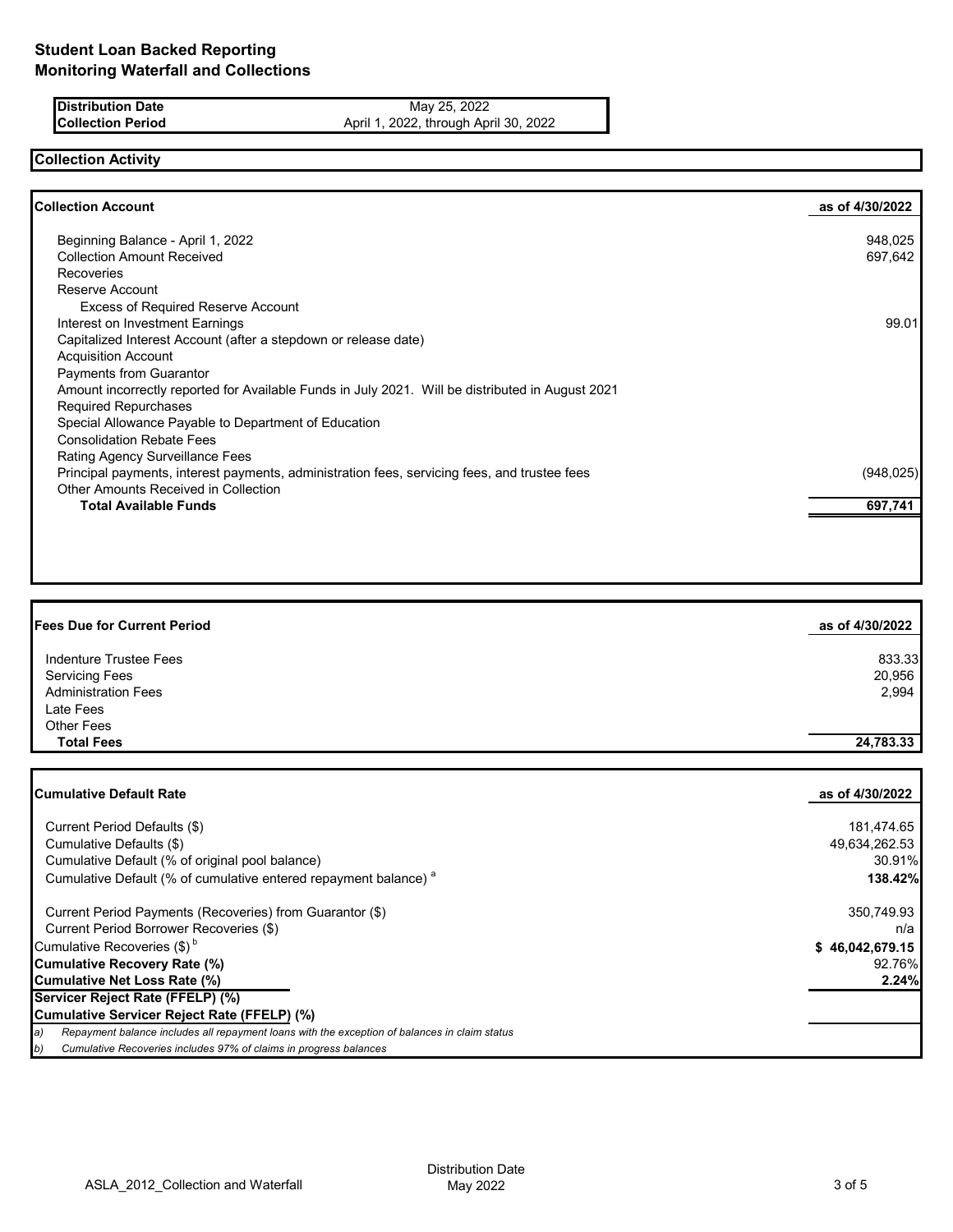**Distribution Date** May 25, 2022 **Collection Period April 1, 2022, through April 30, 2022** 

# **Collection Activity**

| <b>Collection Account</b>                                                                        | as of 4/30/2022 |
|--------------------------------------------------------------------------------------------------|-----------------|
| Beginning Balance - April 1, 2022                                                                | 948,025         |
| <b>Collection Amount Received</b>                                                                | 697,642         |
| <b>Recoveries</b>                                                                                |                 |
| Reserve Account                                                                                  |                 |
| <b>Excess of Required Reserve Account</b>                                                        |                 |
| Interest on Investment Earnings                                                                  | 99.01           |
| Capitalized Interest Account (after a stepdown or release date)                                  |                 |
| <b>Acquisition Account</b>                                                                       |                 |
| <b>Payments from Guarantor</b>                                                                   |                 |
| Amount incorrectly reported for Available Funds in July 2021. Will be distributed in August 2021 |                 |
| <b>Required Repurchases</b>                                                                      |                 |
| Special Allowance Payable to Department of Education                                             |                 |
| <b>Consolidation Rebate Fees</b>                                                                 |                 |
| Rating Agency Surveillance Fees                                                                  |                 |
| Principal payments, interest payments, administration fees, servicing fees, and trustee fees     | (948, 025)      |
| <b>Other Amounts Received in Collection</b>                                                      |                 |
| <b>Total Available Funds</b>                                                                     | 697,741         |

| <b>Fees Due for Current Period</b> | as of 4/30/2022 |
|------------------------------------|-----------------|
| Indenture Trustee Fees             | 833.33          |
| <b>Servicing Fees</b>              | 20,956          |
| <b>Administration Fees</b>         | 2,994           |
| Late Fees                          |                 |
| <b>Other Fees</b>                  |                 |
| <b>Total Fees</b>                  | 24,783.33       |

| lCumulative Default Rate                                                                            | as of 4/30/2022 |
|-----------------------------------------------------------------------------------------------------|-----------------|
| Current Period Defaults (\$)                                                                        | 181,474.65      |
| Cumulative Defaults (\$)                                                                            | 49,634,262.53   |
| Cumulative Default (% of original pool balance)                                                     | 30.91%          |
| Cumulative Default (% of cumulative entered repayment balance) <sup>a</sup>                         | 138.42%         |
| Current Period Payments (Recoveries) from Guarantor (\$)                                            | 350,749.93      |
| Current Period Borrower Recoveries (\$)                                                             | n/a             |
| Cumulative Recoveries (\$) <sup>b</sup>                                                             | \$46,042,679.15 |
| <b>Cumulative Recovery Rate (%)</b>                                                                 | 92.76%          |
| <b>Cumulative Net Loss Rate (%)</b>                                                                 | 2.24%           |
| Servicer Reject Rate (FFELP) (%)                                                                    |                 |
| Cumulative Servicer Reject Rate (FFELP) (%)                                                         |                 |
| Repayment balance includes all repayment loans with the exception of balances in claim status<br>a) |                 |
| Cumulative Recoveries includes 97% of claims in progress balances<br>b)                             |                 |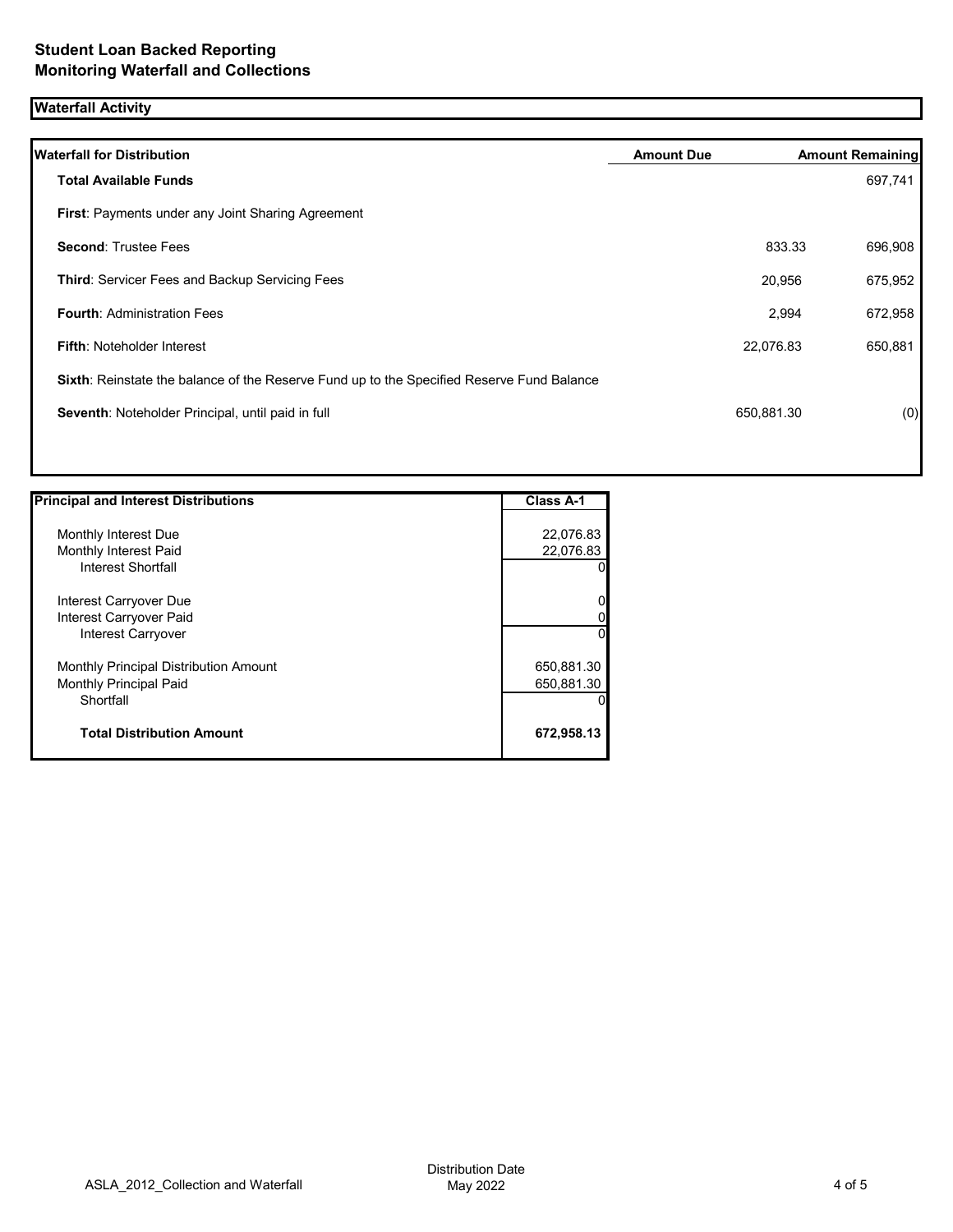## **Waterfall Activity**

| <b>Waterfall for Distribution</b>                                                         | <b>Amount Due</b> |            | <b>Amount Remaining</b> |
|-------------------------------------------------------------------------------------------|-------------------|------------|-------------------------|
| <b>Total Available Funds</b>                                                              |                   |            | 697,741                 |
| First: Payments under any Joint Sharing Agreement                                         |                   |            |                         |
| <b>Second: Trustee Fees</b>                                                               |                   | 833.33     | 696,908                 |
| Third: Servicer Fees and Backup Servicing Fees                                            |                   | 20,956     | 675,952                 |
| <b>Fourth: Administration Fees</b>                                                        |                   | 2,994      | 672,958                 |
| <b>Fifth: Noteholder Interest</b>                                                         |                   | 22,076.83  | 650,881                 |
| Sixth: Reinstate the balance of the Reserve Fund up to the Specified Reserve Fund Balance |                   |            |                         |
| Seventh: Noteholder Principal, until paid in full                                         |                   | 650,881.30 | (0)                     |
|                                                                                           |                   |            |                         |

| <b>Principal and Interest Distributions</b> | Class A-1  |
|---------------------------------------------|------------|
|                                             |            |
| Monthly Interest Due                        | 22,076.83  |
| Monthly Interest Paid                       | 22,076.83  |
| Interest Shortfall                          | O          |
| Interest Carryover Due                      | 0          |
| Interest Carryover Paid                     |            |
| Interest Carryover                          | $\Omega$   |
| Monthly Principal Distribution Amount       | 650,881.30 |
| <b>Monthly Principal Paid</b>               | 650,881.30 |
| Shortfall                                   |            |
| <b>Total Distribution Amount</b>            | 672,958.13 |